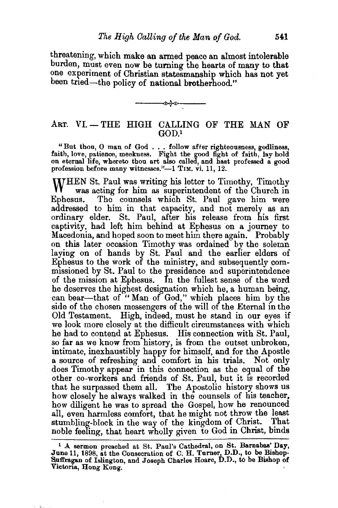threatening, which make an armed peace an almost intolerable burden, must even now be tuming the hearts of many to that one experiment of Christian statesmanship which has not yet been tried-the policy of national brotherhood."



## ART. VI.-THE HIGH CALLING OF THE MAN OF GOD.<sup>1</sup>

"But thou, 0 man of God . . . follow after righteousness, godliness, faith, love, patience, meekness. Fight the good fight of faitb, lay hold on eternal life, whereto thou art also called, and hast professed a good on eternal life, whereto thou art also called, and hast professed a good profession before many witnesses."-1 TIM. vi. 11, 12.

WHEN St. Paul was writing his letter to Timothy, Timothy<br>Ephesus. The counsels which St. Paul gave him were was acting for him as superintendent of the Church in The counsels which St. Paul gave him were addressed to him in that capacity, and not merely as an ordinary elder. St. Paul, after his release from his first captivity, had left him behind at Ephesus on a journey to Macedonia, and hoped soon to meet him there again. Probably on this later occasion Timothy was ordained by the solemn laying on of hands by St. Paul and the earlier elders of Ephesus to the work of the ministry, and subsequently commissioned by St. Paul to the presidence and superintendence of the mission at Ephesus. In the fullest sense of the word he deserves the highest designation which he, a human being, can bear-that of "Man of God," which places him by the side of the chosen messengers of the will of the Eternal in the Old Testament. High, indeed, must he stand in our eyes if we look more closely at the difficult circumstances with which he had to contend at Ephesus. His connection with St. Paul, so far as we know from history, is from the outset unbroken, intimate, inexhaustibly happy for himself, and for the Apostle a source of refreshing and comfort in his trials. Not only does Timothy appear in this connection as the egual of the other co-workers and friends of St. Paul, but it Is recorded that he surpassed them all. The. Apostolic history: shows us how closely he always walked in the counsels of his teacher, how diligent he was to spread the Gospel, how he renounced all, even harmless comfort, that he might not throw the least stumbling-block in the way of the kingdom of Christ. That noble feeling, that heart wholly given to God in Christ, binds

<sup>&</sup>lt;sup>1</sup> A sermon preached at St. Paul's Cathedral, on St. Barnabas' Day, June 11, 1898, at the Consecration of C. H. Turner, D.D., to be Bishop-Suffragan of Islington, and Joseph Charles Hoare, D.D., to be Bishop of Victoria, Hong Kong.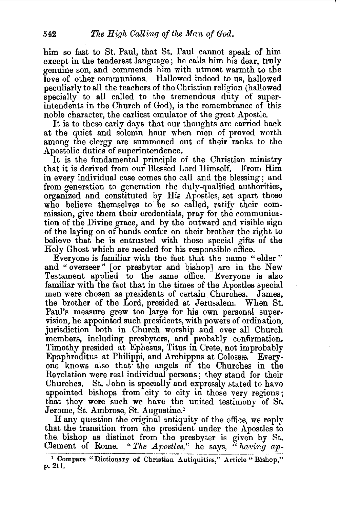him so fast to St. Paul, that St. Paul cannot speak of him except in the tenderest language; he calls him his dear, truly genume son, and commends him with utmost warmth to the love of other communions. Hallowed indeed to us, hallowed peculiarly to all the teachers of the Christian religion (hallowed specially to all called to the tremendous duty of superintendents in the Church of God), is the remembrance of this noble character, the earliest emulator of the great Apostle.

It is to these early days that our thoughts are carried back at the quiet and solemn hour when men of proved worth among the clergy are summoned out of their ranks to the Apostolic duties of superintendence.

It is the fundamental principle of the Christian ministry that it is derived from our Blessed Lord Himself. From Him in every individual case comes the call and the blessing; and from generation to generation the duly-qualified authorities, organized and constituted by His Apostles, set apart those who believe themselves to be so called, ratify their commission, give them their credentials, pray for the communication of the Divine grace, and by the outward and visible sign of the laying on of hands confer on their brother the right to believe that he is entrusted with those special gifts of the Holy Ghost which are needed for his responsible office.

Everyone is familiar with the fact that the name " elder " and "overseer" [or presbyter and bishop] are in the New Testament applied to the same office. Everyone is also familiar with the fact that in the times of the Apostles special men were chosen as presidents of certain Churches. James, the brother of the Lord, presided at Jerusalem. When St. Paul's measure grew too large for his own personal supervision, he appointed such presidents, with powers of ordination. jurisdiction both in . Church worship and over all Church members, including presbyters, and probably confirmation. Timothy presided at Ephesus, Titus in Crete, not improbably Epaphroditus at Philippi, and Archippus at Colossæ. Everyone knows also that· the angels of the Churches in the Revelation were real individual persons; they stand for their Churches. St. John is specially and expressly stated to have appointed bishops from city to city in those very regions; that they were such we have the united testimony of St. Jerome, St. Ambrose, St. Augustine.<sup>1</sup>

If any question the original antiquity of the office, we reply that the transition from the president under the Apostles to the. bishop as distinct from the presbyter is given by St. Clement of Rome. *"The Apostles,"* he says, *"having ap-*

<sup>&</sup>lt;sup>1</sup> Compare "Dictionary of Christian Antiquities," Article "Bishop," p. 211.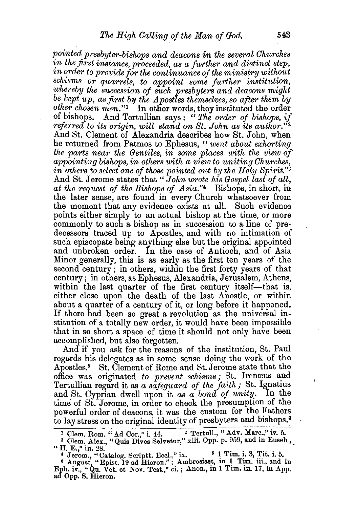*pointed presbyter-bishops and deacons in the several Churches* in the first instance, proceeded, as a further and distinct step,  $in ~order ~to ~ provide ~for ~the~ continuous ~of ~the ~ministry~ without$  $schisms$  or *quarrels, to appoint some further institution, whereby the succession of such presbyters and deacons might be kept up, as first by the Apostles themselves, so after them by other chosen men."*1 In other words, they instituted the order of bishops. And Tertullian says : " *The order of bishops, if referred to its origin, will stand on St. John as its author."2*  And St. Clement of Alexandria describes how St. John, when he returned from Patmos to Ephesus, " *went about exhorting the parts near the Gentiles, in some places with the view of appointing bishops, in others with a view to uniting Churches, in othe'rs to select one of those pointed out by the Holy Spirit."3*  And St. Jerome states that "*John wrote his Gospel last of all*, *at the request of the Bishops of Asia."4* Bishops, in short, in the later sense, are found in every Church whatsoever from the moment that any evidence exists at all. Such evidence points either simply to an actual bishop at the time, or more commonly to such a bishop as in succession to a line of predecessors traced up to Apostles, and with no intimation of such episcopate being anything else but the original appointed and unbroken order. In the case of Antioch, and of Asia Minor generally, this is as early as the first ten years of the second century ; in others, within the first forty years of that century; in others, as Ephesus, Alexandria, Jerusalem, Athens, within the last quarter of the first century itself—that is, either close upon the death of the last Apostle, or within about a quarter of a century of it, or long before it happened. If there had been so great a revolution as the universal institution of a totally new order, it would have been impossible that in so short a space of time it should not only have been accomplished, but also forgotten.

And if you ask for the reasons of the institution, St. Paul regards his delegates as in some sense doing the work of the Apostles.5 St. Clement of Rome and St. Jerome state that the office was originated *to prevent schisms*; St. Irenæus and Tertullian regard it as a safeguard of the faith; St. Ignatius and St. Cyprian dwell upon it as a bond of unity. In the time of St. Jerome, in order to check the presumption of the powerful order of deacons, it was the custom for the Fathers to lay stress on the original identity of presbyters and bishops.<sup>6</sup>

<sup>&</sup>lt;sup>1</sup> Clem. Rom. "Ad Cor.," i. 44. <sup>2</sup> Tertull., "Adv. Marc.," iv. 5. <sup>3</sup> Clem. Alex., "Quis Dives Selvetur," xlii. Opp. p. 959, and in Euseb., "H. E.," iii. 28.

<sup>&</sup>lt;sup>4</sup> Jerom., "Catalog. Scriptt. Eccl.," ix. <sup>6</sup> 1 Tim. i. 3, Tit. i. 5.<br><sup>6</sup> August, "Epist. 19 ad Hieron."; Ambrosiast, in 1 Tim. iii., and in Eph. iv., "Qu. Vet. et Nov. Test.," ci.; Anon., in 1 Tim. iii. 17, in App. ad Opp. S. Hieron.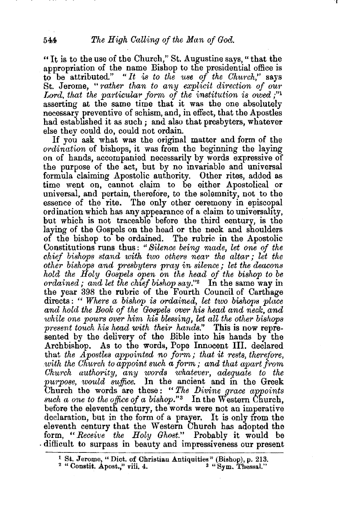"It is to the use of the Church," St. Augustine says," that the appropriation of the name Bishop to the presidential office is to be attributed." *"It is to the use of the Church,"* says St. Jerome, " *'rather than to any explicit direction of our*  Lord, that the particular form of the institution is owed;"<sup>1</sup> asserting at the same time that it was the one absolutely necessary preventive of schism, and, in effect, that the Apostles had established it as such; and also that presbyters, whatever else thev could do, could not ordain.

If you ask what was the original matter and form of the *ordination* of bishops, it was from the beginning the laying on of hands, accompanied necessarily by words expressive of the purpose of the act, but by no mvariable and universal formula claiming Apostolic authority. Other rites, added as time went on, cannot claim to be either Apostolical or universal, and pertain, therefore, to the solemnity, not to the essence of the rite. The only other ceremony in episcopal ordination which has any appearance of a claim to universality, but which is not traceable before the third century, is the laying of the Gospels on the head or the neck and shoulders of the bishop to be ordained. The rubric in the Apostolic Constitutions runs thus: *"Silence being made, let one of the chief bishops stand with two others near the altwr* ; *let the other bishops and presbyters pray in silence; let the deacons hold the Holy Gospels open on the head of the bishop to be ordained; and let the chief bishop say."2* In the same way in the year 398 the rubric of the Fourth Council of Carthage directs : " *Where a bishop is ordained, let two bishops place and hold the Book of the Gospels over his head and neclc, and*  while one pours over him his blessing, let all the other bishops *present touch his head with their hands."* This is now represented by the delivery of the Bible into his hands by the Archbishop. As to the words, Pope Innocent III. declared that *the Apostles appointed no form; that it rests, therefore, with the Church to appoint such a form* ; *and that apart from Church authority, any 'WO'rds whatever, adequate to the purpose, would suifice.* In the ancient and in the Greek Church the words are these: "The Divine grace appoints *such a one to the office of a bishop.*"<sup>3</sup> In the Western Church, before the eleventh century, the words were not an imperative declaration, but in the form of a prayer. It is only from the eleventh century that the Western Church has adopted the form, *"Receive the Holy Ghost."* Probably it would be . difficult to surpass in beauty and impressiveness our present

<sup>1</sup> St. Jerome," Diet. of Christian Antiquities" (Bishop), p. 213. 2 "Constit. Apost.," viii. 4. 3 "Sym. 'l'hessal."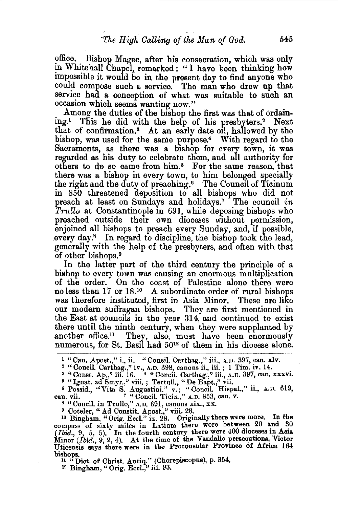office. Bishop Magee, after his consecration, which was only in Whitehall Chapel, remarked : "I have been thinking how impossible it would be in the present day to find anyone who could compose such a service. The man who drew up that service had a conception of what was suitable to such an occasion which seems wanting now."

Among the duties of the bishop the first was that of ordaining.<sup>1</sup> This he did with the help of his presbyters.<sup>2</sup> Next that of confirmation.<sup>3</sup> At an early date oil, hallowed by the bishop, was used for the same purpose.4 With regard to the Sacraments, as there was a bishop for every town, it was regarded as his duty to celebrate them, and all authority for others to do so came from him.<sup>5</sup> For the same reason, that there was a bishop in every town, to him belonged specially the right and the duty of preaching. $6$  The Council of Ticinum in 850 threatened deposition to all bishops who did not preach at least on Sundays and holidays.7 The council *in Trullo* at Constantinople in 691, while deposing bishops who preached outside their own dioceses without permission, enjoined all bishops to preach every Sunday, and, if possible, every day.<sup>8</sup> In regard to discipline, the bishop took the lead, generally with the help of the presbyters, and often with that of other bishops. 9

In the latter part of the third century the principle of a bishop to every town was causing an enormous multiplication of the order. On the coast of Palestine alone there were no less than 17 or 18.10 A subordinate order of rural bishops was therefore instituted, first in Asia Minor. These are like our modern suffragan bishops. They are first mentioned in the East at councils in the year 314, and continued to exist there until the ninth century, when they were supplanted by another office.<sup>11</sup> They, also, must have been enormously numerous, for St. Basil had 5012 of them in his diocese alone.

ean. vii. The Concil. Tiein.," A.D. 853, can. v.<br>
<sup>8</sup> "Concil. in Trullo," A.D. 691, canons xix., xx.<br>
<sup>9</sup> Coteler, "Ad Constit. Apost.," viii. 28.<br>
<sup>10</sup> Bingham, "Orig. Eccl." ix. 28. Originally there were more. In the compass of sixty miles in Latium there were between 20 and 30 *(Ibid.*, 9, 5, 5). In the fourth century there were 400 dioceses in Asia Minor  $(Ibid., 9, 2, 4)$ . At the time of the Vandalic persecutions, Victor Uticensis says there were in the Proconsular Province of Africa 164

bishops.<br><sup>11</sup> "Dict. of Christ. Antiq." (Chorepiscopus), p. 354.

12 Bingham, " Orig. Eccl.," iii. 93.

<sup>&</sup>lt;sup>1</sup> "Can. Apost.," i., ii. "Concil. Carthag.," iii., A.D. 397, can. xlv.  $2$  "Concil. Carthag.," iv., A.D. 398, canons ii., iii.; 1 Tim. iv. 14.

<sup>&</sup>lt;sup>3</sup> "Const. Ap.," iii. 16. <sup>'4</sup> "Concil. Carthag.," iii., A.D. 397, can. xxxvi.<br><sup>5</sup> "Ignat. ad Smyr.," viii. ; Tertull., "De Bapt.," vii.<br><sup>6</sup> Possid., "Vita S. Augustini," v.; "Concil. Hispal.," ii., A.D. 619,

can. vii. *7* "Concil. Ticin.," A.D. 853, can. v.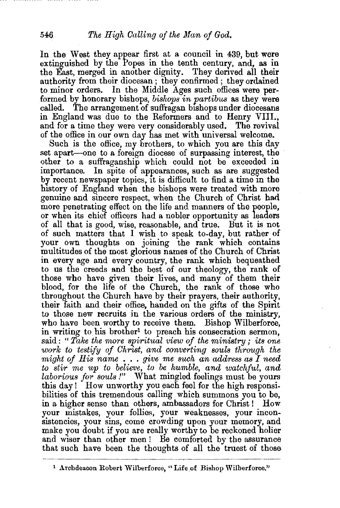In the West they appear first at a council in 439, but were extinguished by the Popes in the tenth century, and, as in the East, merged in another dignity. They derived all their authority from their diocesan ; they confirmed ; they ordained to minor orders. In the Middle Ages such offices were performed by honorary bishops, *bishops in partibus* as they were called. The arrangement of suffragan bishops under diocesans The arrangement of suffragan bishops under diocesans in England was due to the Reformers and to Henry VIII., and for a time they were very considerably used. The revival of the office in our own day has met with universal welcome.

Such is the office, my brothers, to which you are this day set apart—one to a foreign diocese of surpassing interest, the other to a suffraganship which could not be exceeded in importance. In spite of appearances, such as are suggested by recent newspaper topics, it is difficult to find a time in the history of England when the bishops were treated with more genuine and sincere respect, when the Church of Christ had more penetrating effect on the life and manners of the people, or when its chief officers had a nobler opportunity as leaders of all that is good, wise, reasonable, and true. But it is not of such matters that I wish to speak to-day, but rather of your own thoughts on joining the rank which contains multitudes of the most glorious names of the Church of Christ in every age and every country, the rank which bequeathed to ns the creeds and the best of our theology, the rank of those who have given their lives, and many of them their blood, for the life of the Church, the rank of those who throughout the Church have by their prayers, their authority, their faith and their office, handed on the gifts of the Spint to those new recruits in the various orders of the ministry, who have been worthy to receive them. Bishop Wilberforce, in writing to his brother<sup>1</sup> to preach his consecration sermon, said : " *Take the nwre spiritual view of the ministry* ; *its one work to testify of Ohrist, and converting souls through the might of His name* ... *give me such an address as I need to stir me up to believe, to be humble, and watchful, and laborious for souls !"* What mingled feelings must be yours this day! How unworthy you each feel for the high responsibilities of this tremendous calling which summons you to be, in a higher sense than others, ambassadors for Christ ! How your mistakes, your follies, your weaknesses, your inconsistencies, your sins, come crowding upon your memory, and make you doubt if you are really worthy to be reckoned holier and wiser than other men ! Be comforted by the assurance that such have been the thoughts of all the truest of those

<sup>&</sup>lt;sup>1</sup> Archdeacon Robert Wilberforce, "Life of Bishop Wilberforce."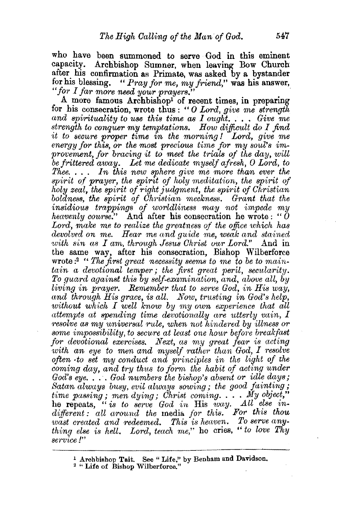who have been summoned to serve God in this eminent capacity. Archbishop Sumner, when leaving Bow Church after his confirmation as Primate, was asked by a bystander for his blessing. "Pray for me, my friend," was his answer, *"for I far more need your prayers."* ·

A. more famous Archbishop1 of recent times, in preparing for his consecration, wrote thus : " *0 Lord, give me strength*  and spirituality to use this time as I ought. . . . Give me *strength to conquer my temptations. How difficult do I find it to secure proper time in the morning* ! *Lord, give me*  energy for this, or the most precious time for my soul's improvement, for bracing it to meet the trials of the day, will be frittered away. Let me dedicate myself afresh, O Lord, to *Thee.* . . . *In this new sphere give me more than ever the spirit of prayer, the spirit of holy meditation, the spirit of* holy zeal, the spirit of right judgment, the spirit of Christian boldness, the spirit of *Christian meekness.* Grant that the *insidious trappings of worldliness may not impede my heavenly course.*" And after his consecration he wrote: " $\check{0}$ *Lord, malce me to realize the greatness of the office which has*  devolved on me. Hear me and quide me, weak and stained *with sin as I am, through Jesus Christ our Lord.*" And in the same way, after his consecration, Bishop Wilberforce wrote : 2 *"The first great necessity seems to 1ne to be to maintain a devotional temper* ; *the first great peril, secularity. To guard against this by self-examination, and, above aU, by living in prayer. Remember that to serve God, in His way, and through His grace, is all. Now, trusting in God's help, without which I well know by my own experience that all* attempts at spending time devotionally are utterly vain, I *resolve as my universal rule, when not hindered by illness or* some *impossibility*, to secure at least one hour before breakfast *for devotional exercises. Next, as my great fear is acting*  with an eye to men and myself rather than God, I resolve often *·to set my conduct and principles in the light of the coming day, and try thus to form the habit of ading under God's eye.* ... *God numbers the bishop's absent or idle days;* Satan always busy, evil always sowing; the good fainting; *time passing; men dying; Christ coming.... My object,*" he repeats, " is to serve God in His way. All else in $differential: all around the media for this. For this *how*$ *'Wast crectted and redeemed. This is heaven. To serve anything else is hell. Lord, teach me,"* he cries, " *to love Thy serv,ice !"* 

<sup>&</sup>lt;sup>1</sup> Archbishop Tait. See "Life," by Benham and Davidson.<br><sup>2</sup> "Life of Bishop Wilberforce."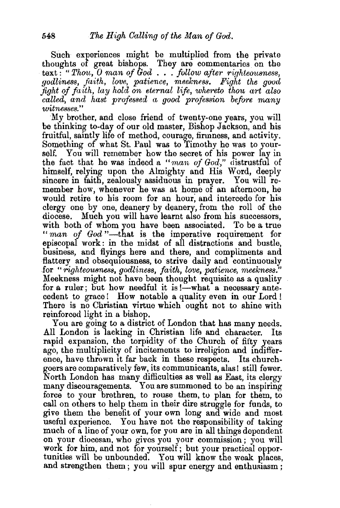Such experiences might be multiplied from the private thoughts of great bishops. They are commentaries on the text : " *Thou, 0 man of God* . . . *follow after righteousness, godliness, fitith, love, patience, meekness. Fight the good fight of faith, lay hold on eternal life, whereto thou art also called, and hast professed a good profession before many witnesses.''* 

My brother, and close friend of twenty-one years, you will be thinking to-day of our old master, Bishop Jackson, and his fruitful, saintly life of method, courage, firmness, and activity. Something of what St. Paul was to Timothy he was to yourself. You will remember how the secret of his power lay in the fact that he was indeed a *"man of God,"* distrustful of himself, relying upon the Almighty and His Word, deeply sincere in faith, zealously assiduous in prayer. You will remember how, whenever he was at home of an afternoon, he would retire to his room for an hour; and intercede for his clergy one by one, deanery by deanery, from the roll of the diocese. Much you will have learnt also from his successors, with both of whom you have been associated. To be a true *"man of God* "-that is the imperative requirement for episcopal work: in the midst of all distractions and bustle, business, and flyings here and there, and compliments and flattery and obsequiousness, to strive daily and continuously for *"righteousness, godliness, faith, love, patience, meekness."*  Meekness might not have been thought requisite as a quality for a ruler; but how needful it is  $\frac{1}{2}$  what a necessary antecedent to grace ! How notable a quality even in our Lord ! There is no Christian virtue which ought not to shine with reinforced light in a bishop.

You are going to a district of London that has many needs. All London is lacking in Christian life and character. Its rapid expansion, the torpidity of the Church of fifty years ago, the multiplicity of incitements to irreligion and indifference, have thrown 1t far back in these respects. Its churchgoers are comparatively few, its communicants, alas! still fewer. North London has many difficulties as well as East, its clergy many discouragements. You are summoned to be an inspiring force to your brethren, to rouse them, to plan for them, to call on others to help them in their dire struggle for funds, to give them the benefit of your own long and wide and most useful experience. You have not the responsibility of taking much of a line of your own, for you are in all things dependent on your diocesan, who gives you your commission; you will work for him, and not for yourself; but your practical opportunities will be unbounded. You will know the weak places, and strengthen them; you will spur energy and enthusiasm;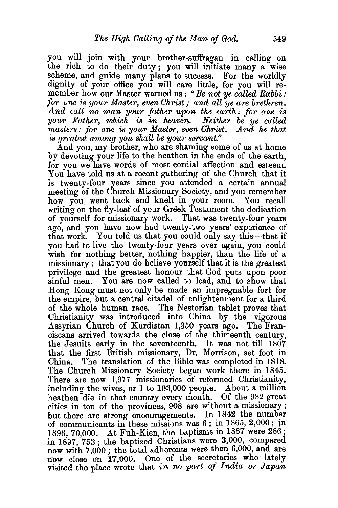you will join with your brother-suffragan in calling on the rich to do their duty; you will initiate many a wise scheme, and guide many plans to success. For the worldly dignity of your office you will care little, for you will remember how our Master warned us : *"Be not ye called Rabbi: for one is your Master, even Ghrist; and all ye are brethren.*  And call no man your father upon the earth: for one is your Father, which is in heaven. Neither be ye called *masters: for one is your Master, even Christ. And he that is greatest among you shall be your servant."* 

And you, my brother, who are shaming some of us at home by devoting your life to the heathen in the ends of the earth. for you we have words of most cordial affection and esteem. You have told us at a recent gathering of the Church that it is twenty-four years since you attended a certain annual meeting of the Church Missionary Society, and you remember how you went back and knelt in your room. You recall writing on the fly-leaf of your Greek Testament the dedication of yourself for missionary work. That was twenty-four years ago, and you have now had twenty-two years' experience of that work. You told us that you could only say this—that if you had to live the twenty-four years over again, you could wish for nothing better, nothing happier, than the life of a missionary ; that you do believe yourself that it is the greatest privilege and the greatest honour that God puts upon poor sinful men. You are now called to lead, and to show that Hong Kong must not only be made an impregnable fort for the empire, but a central citadel of enlightenment. for a third of the whole human race. The Nestorian tablet proves that Christianity was introduced into China by the vigorous Assyrian Church of Kurdistan 1,350 years ago. The Franciscans arrived towards the close of the thirteenth century, the Jesuits early in the seventeenth. It was not till 1807 that the first British missionary, Dr. Morrison, set foot in China. The translation of the Bible was completed in 1818. The Church Missionary Society began work there in 1845. There are now 1,977 missionaries of reformed Christianity, including the wives, or 1 to 193,000 people. About a million heathen die in that country every month. Of the 982 great cities in ten of the provinces, 908 are without a missionary ; but there are strong encouragements. In 1842 the number of communicants in these missions was 6; in 1865, 2,000; ln 1896, 70,000. At Fuh-Kien, the baptisms in 1887 were 286 ; in 1897, 753; the baptized Christians were 3,000, compared now with 7,000; the total adherents were then 6,000, and are now close on 17,000. One of the secretaries who lately visited the place wrote that *in no part of India or Japan*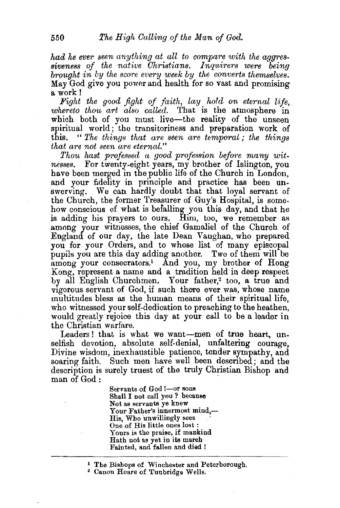*had he ever seen anything at all to compare with the aggressiveness of the native Christians. Inquirers were being brought in by the score every week by the converts themselves.*  May God give you power and health for so vast and promising a. work!

*Fight the good fight of faith, lay hold on eternal life, whereto thou art also called.* That is the atmosphere in which both of you must live-the reality of the unseen spiritual world; the transitoriness and preparation work of this. " The things that are seen are temporal; the things *that are not seen are eternal."* 

*Thou hast professed a good profession before many witnesses.* For twenty-eight years, my brother of Islington, you have been merged in the public life of the Church in London, and your fidelity in principle and practice has been unswerving. We can hardly doubt that that loyal servant of the Church, the former Treasurer of Guy's Hospital, is somehow conscious of what is befalling you this day, and that he is adding his prayers to ours. Him, too, we remember as among your witnesses, the chief Gamaliel of the Church of England of our day, the late Dean Vaughan, who prepared you for your Orders, and to whose list of many episcopal pupils you are this day adding another. Two of them will be among your consecrators.<sup>1</sup> And you, my brother of Hong Kong, represent a name and a tradition held in deep respect by all English Churchmen. Your father,<sup>2</sup> too, a true and vigorous servant of God, if such there ever was, whose name multitudes bless as the human means of their spiritual life, who witnessed your self-dedication to preaching to the heathen, would greatly rejoice this day at your call to be a leader in the Christian warfare.

Leaders! that is what we want-men of true heart, unselfish devotion, absolute self-denial, unfaltering courage. Divine wisdom, inexhaustible patience, tender sympathy, and soaring faith. Such men have well been described; and the description is surely truest of the truly Christian Bishop and man of God:

> Servants of God !--or sons<br>Shall I not call you ? because Not as servants ye knew Your Father's innermost mind,—<br>His, Who unwillingly sees One of His little ones lost :<br>Yours is the praise, if mankind Hath not as yet in its march Fainted, and fallen and died !

<sup>&</sup>lt;sup>1</sup> The Bishops of Winchester and Peterborough.<br><sup>2</sup> Canon Hoare of Tunbridge Wells.